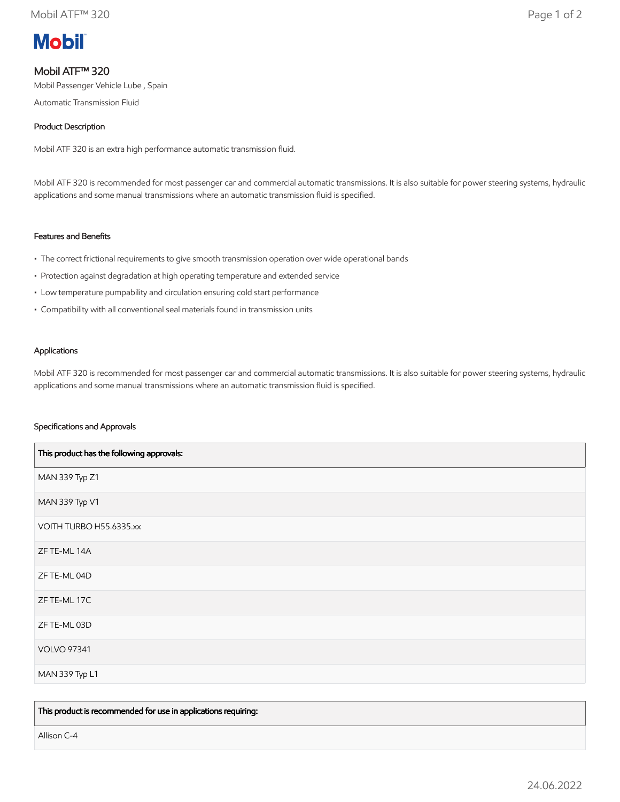

# Mobil ATF™ 320

Mobil Passenger Vehicle Lube , Spain

Automatic Transmission Fluid

# Product Description

Mobil ATF 320 is an extra high performance automatic transmission fluid.

Mobil ATF 320 is recommended for most passenger car and commercial automatic transmissions. It is also suitable for power steering systems, hydraulic applications and some manual transmissions where an automatic transmission fluid is specified.

# Features and Benefits

- The correct frictional requirements to give smooth transmission operation over wide operational bands
- Protection against degradation at high operating temperature and extended service
- Low temperature pumpability and circulation ensuring cold start performance
- Compatibility with all conventional seal materials found in transmission units

### Applications

Mobil ATF 320 is recommended for most passenger car and commercial automatic transmissions. It is also suitable for power steering systems, hydraulic applications and some manual transmissions where an automatic transmission fluid is specified.

### Specifications and Approvals

| This product has the following approvals: |
|-------------------------------------------|
| MAN 339 Typ Z1                            |
| MAN 339 Typ V1                            |
| VOITH TURBO H55.6335.xx                   |
| ZF TE-ML 14A                              |
| ZF TE-ML 04D                              |
| ZF TE-ML 17C                              |
| ZF TE-ML 03D                              |
| <b>VOLVO 97341</b>                        |
| MAN 339 Typ L1                            |

This product is recommended for use in applications requiring:

Allison C-4